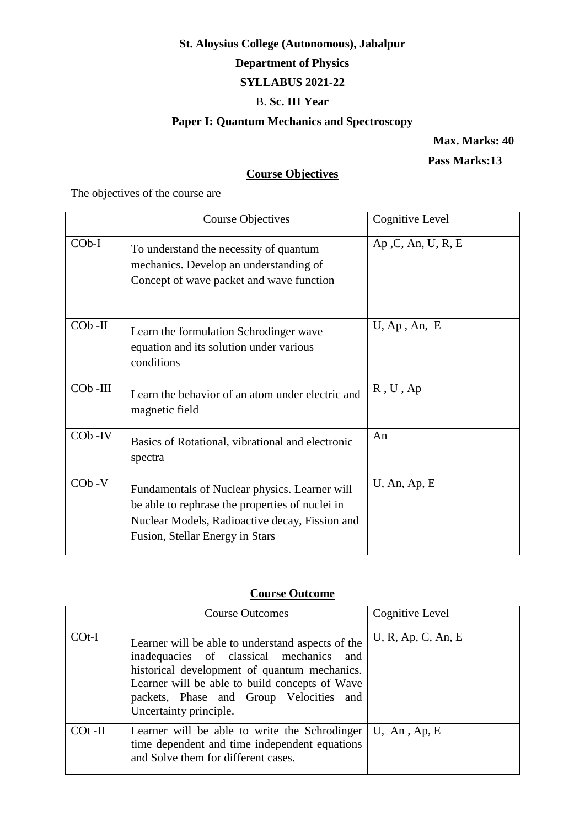# **St. Aloysius College (Autonomous), Jabalpur**

# **Department of Physics**

# **SYLLABUS 2021-22**

## B. **Sc. III Year**

# **Paper I: Quantum Mechanics and Spectroscopy**

 **Max. Marks: 40**

 **Pass Marks:13**

# **Course Objectives**

The objectives of the course are

|            | <b>Course Objectives</b>                                                                                                                                                              | Cognitive Level    |
|------------|---------------------------------------------------------------------------------------------------------------------------------------------------------------------------------------|--------------------|
| $COb-I$    | To understand the necessity of quantum<br>mechanics. Develop an understanding of<br>Concept of wave packet and wave function                                                          | Ap, C, An, U, R, E |
| $COb$ -II  | Learn the formulation Schrodinger wave<br>equation and its solution under various<br>conditions                                                                                       | $U$ , Ap, An, E    |
| $COb$ -III | Learn the behavior of an atom under electric and<br>magnetic field                                                                                                                    | R, U, Ap           |
| $COb$ -IV  | Basics of Rotational, vibrational and electronic<br>spectra                                                                                                                           | An                 |
| $COb -V$   | Fundamentals of Nuclear physics. Learner will<br>be able to rephrase the properties of nuclei in<br>Nuclear Models, Radioactive decay, Fission and<br>Fusion, Stellar Energy in Stars | $U$ , An, Ap, E    |

# **Course Outcome**

|            | <b>Course Outcomes</b>                                                                                                                                                                                                                                                 | Cognitive Level    |
|------------|------------------------------------------------------------------------------------------------------------------------------------------------------------------------------------------------------------------------------------------------------------------------|--------------------|
| $COf-I$    | Learner will be able to understand aspects of the<br>inadequacies of classical mechanics<br>and<br>historical development of quantum mechanics.<br>Learner will be able to build concepts of Wave<br>packets, Phase and Group Velocities and<br>Uncertainty principle. | U, R, Ap, C, An, E |
| $\cot$ -II | Learner will be able to write the Schrodinger<br>time dependent and time independent equations<br>and Solve them for different cases.                                                                                                                                  | $U$ , An, Ap, E    |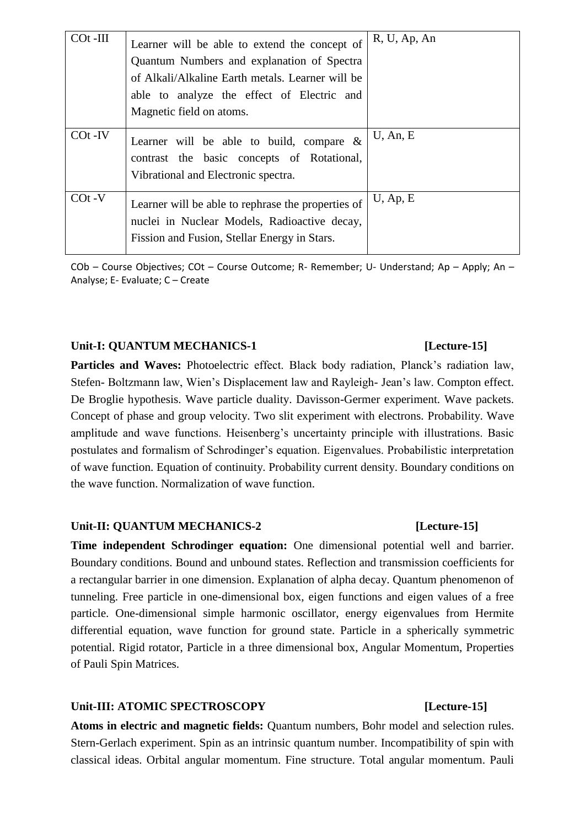| $\cot$ -III | Learner will be able to extend the concept of<br>Quantum Numbers and explanation of Spectra<br>of Alkali/Alkaline Earth metals. Learner will be<br>able to analyze the effect of Electric and<br>Magnetic field on atoms. | R, U, Ap, An |
|-------------|---------------------------------------------------------------------------------------------------------------------------------------------------------------------------------------------------------------------------|--------------|
| $COT$ -IV   | Learner will be able to build, compare $\&$<br>contrast the basic concepts of Rotational,<br>Vibrational and Electronic spectra.                                                                                          | $U$ , An, E  |
| $COf -V$    | Learner will be able to rephrase the properties of<br>nuclei in Nuclear Models, Radioactive decay,<br>Fission and Fusion, Stellar Energy in Stars.                                                                        | $U$ , Ap, E  |

COb – Course Objectives; COt – Course Outcome; R- Remember; U- Understand; Ap – Apply; An – Analyse; E- Evaluate; C – Create

### Unit-I: QUANTUM MECHANICS-1 [Lecture-15]

Particles and Waves: Photoelectric effect. Black body radiation, Planck's radiation law, Stefen- Boltzmann law, Wien's Displacement law and Rayleigh- Jean's law. Compton effect. De Broglie hypothesis. Wave particle duality. Davisson-Germer experiment. Wave packets. Concept of phase and group velocity. Two slit experiment with electrons. Probability. Wave amplitude and wave functions. Heisenberg's uncertainty principle with illustrations. Basic postulates and formalism of Schrodinger's equation. Eigenvalues. Probabilistic interpretation of wave function. Equation of continuity. Probability current density. Boundary conditions on the wave function. Normalization of wave function.

### Unit-II: QUANTUM MECHANICS-2 [Lecture-15]

**Time independent Schrodinger equation:** One dimensional potential well and barrier. Boundary conditions. Bound and unbound states. Reflection and transmission coefficients for a rectangular barrier in one dimension. Explanation of alpha decay. Quantum phenomenon of tunneling. Free particle in one-dimensional box, eigen functions and eigen values of a free particle. One-dimensional simple harmonic oscillator, energy eigenvalues from Hermite differential equation, wave function for ground state. Particle in a spherically symmetric potential. Rigid rotator, Particle in a three dimensional box, Angular Momentum, Properties of Pauli Spin Matrices.

## Unit-III: ATOMIC SPECTROSCOPY [Lecture-15]

**Atoms in electric and magnetic fields:** Quantum numbers, Bohr model and selection rules. Stern-Gerlach experiment. Spin as an intrinsic quantum number. Incompatibility of spin with classical ideas. Orbital angular momentum. Fine structure. Total angular momentum. Pauli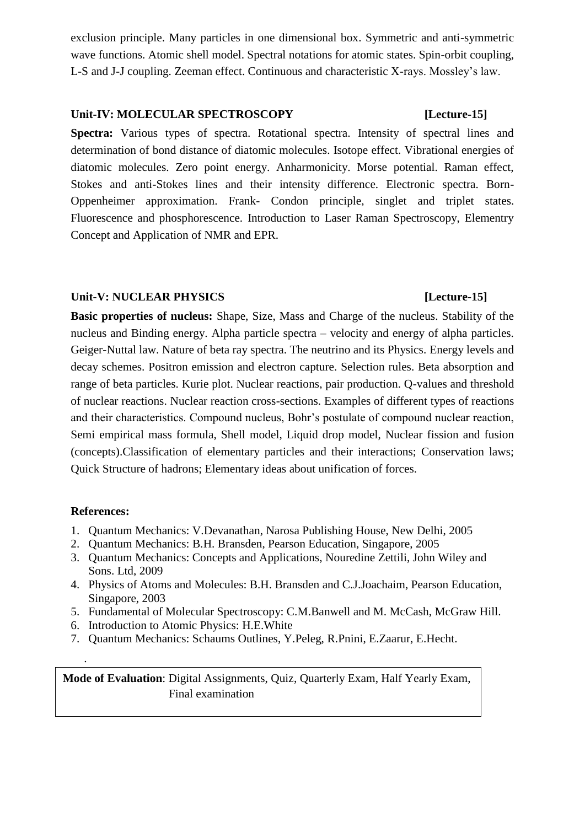exclusion principle. Many particles in one dimensional box. Symmetric and anti-symmetric wave functions. Atomic shell model. Spectral notations for atomic states. Spin-orbit coupling, L-S and J-J coupling. Zeeman effect. Continuous and characteristic X-rays. Mossley's law.

### Unit-IV: MOLECULAR SPECTROSCOPY [Lecture-15]

**Spectra:** Various types of spectra. Rotational spectra. Intensity of spectral lines and determination of bond distance of diatomic molecules. Isotope effect. Vibrational energies of diatomic molecules. Zero point energy. Anharmonicity. Morse potential. Raman effect, Stokes and anti-Stokes lines and their intensity difference. Electronic spectra. Born-Oppenheimer approximation. Frank- Condon principle, singlet and triplet states. Fluorescence and phosphorescence. Introduction to Laser Raman Spectroscopy, Elementry Concept and Application of NMR and EPR.

### **Unit-V: NUCLEAR PHYSICS [Lecture-15]**

# **Basic properties of nucleus:** Shape, Size, Mass and Charge of the nucleus. Stability of the nucleus and Binding energy. Alpha particle spectra – velocity and energy of alpha particles. Geiger-Nuttal law. Nature of beta ray spectra. The neutrino and its Physics. Energy levels and decay schemes. Positron emission and electron capture. Selection rules. Beta absorption and range of beta particles. Kurie plot. Nuclear reactions, pair production. Q-values and threshold of nuclear reactions. Nuclear reaction cross-sections. Examples of different types of reactions and their characteristics. Compound nucleus, Bohr's postulate of compound nuclear reaction, Semi empirical mass formula, Shell model, Liquid drop model, Nuclear fission and fusion (concepts).Classification of elementary particles and their interactions; Conservation laws; Quick Structure of hadrons; Elementary ideas about unification of forces.

### **References:**

.

- 1. Quantum Mechanics: V.Devanathan, Narosa Publishing House, New Delhi, 2005
- 2. Quantum Mechanics: B.H. Bransden, Pearson Education, Singapore, 2005
- 3. Quantum Mechanics: Concepts and Applications, Nouredine Zettili, John Wiley and Sons. Ltd, 2009
- 4. Physics of Atoms and Molecules: B.H. Bransden and C.J.Joachaim, Pearson Education, Singapore, 2003
- 5. Fundamental of Molecular Spectroscopy: C.M.Banwell and M. McCash, McGraw Hill.
- 6. Introduction to Atomic Physics: H.E.White
- 7. Quantum Mechanics: Schaums Outlines, Y.Peleg, R.Pnini, E.Zaarur, E.Hecht.

**Mode of Evaluation**: Digital Assignments, Quiz, Quarterly Exam, Half Yearly Exam, Final examination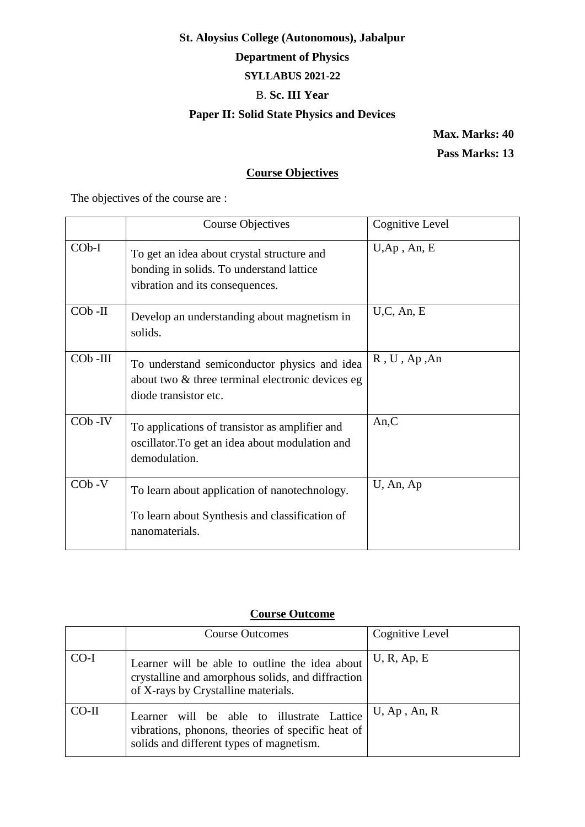# **St. Aloysius College (Autonomous), Jabalpur Department of Physics SYLLABUS 2021-22** B. **Sc. III Year Paper II: Solid State Physics and Devices**

**Max. Marks: 40**

**Pass Marks: 13**

# **Course Objectives**

The objectives of the course are :

|                      | <b>Course Objectives</b>                                                                                                     | Cognitive Level |
|----------------------|------------------------------------------------------------------------------------------------------------------------------|-----------------|
| $COb-I$              | To get an idea about crystal structure and<br>bonding in solids. To understand lattice<br>vibration and its consequences.    | $U, Ap$ , An, E |
| $COb$ -II            | Develop an understanding about magnetism in<br>solids.                                                                       | U, C, An, E     |
| CO <sub>b</sub> -III | To understand semiconductor physics and idea<br>about two $\&$ three terminal electronic devices eg<br>diode transistor etc. | R, U, Ap, An    |
| $COb$ -IV            | To applications of transistor as amplifier and<br>oscillator. To get an idea about modulation and<br>demodulation.           | An, C           |
| $COb -V$             | To learn about application of nanotechnology.<br>To learn about Synthesis and classification of<br>nanomaterials.            | $U$ , An, Ap    |

# **Course Outcome**

|         | <b>Course Outcomes</b>                                                                                                                      | Cognitive Level |
|---------|---------------------------------------------------------------------------------------------------------------------------------------------|-----------------|
| $CO-I$  | Learner will be able to outline the idea about<br>crystalline and amorphous solids, and diffraction<br>of X-rays by Crystalline materials.  | U, R, Ap, E     |
| $CO-II$ | Learner will be able to illustrate Lattice<br>vibrations, phonons, theories of specific heat of<br>solids and different types of magnetism. | $U$ , Ap, An, R |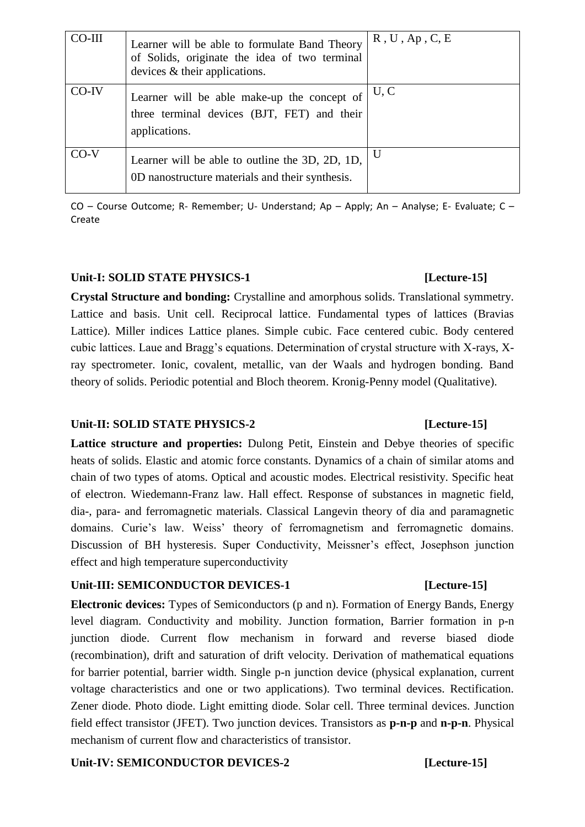| CO-III | Learner will be able to formulate Band Theory<br>of Solids, originate the idea of two terminal<br>devices $\&$ their applications. | R, U, Ap, C, E |
|--------|------------------------------------------------------------------------------------------------------------------------------------|----------------|
| CO-IV  | Learner will be able make-up the concept of<br>three terminal devices (BJT, FET) and their<br>applications.                        | U, C           |
| $CO-V$ | Learner will be able to outline the 3D, 2D, 1D,<br>0D nanostructure materials and their synthesis.                                 | U              |

CO – Course Outcome; R- Remember; U- Understand; Ap – Apply; An – Analyse; E- Evaluate; C – Create

### **Unit-I: SOLID STATE PHYSICS-1 [Lecture-15]**

**Crystal Structure and bonding:** Crystalline and amorphous solids. Translational symmetry. Lattice and basis. Unit cell. Reciprocal lattice. Fundamental types of lattices (Bravias Lattice). Miller indices Lattice planes. Simple cubic. Face centered cubic. Body centered cubic lattices. Laue and Bragg's equations. Determination of crystal structure with X-rays, Xray spectrometer. Ionic, covalent, metallic, van der Waals and hydrogen bonding. Band theory of solids. Periodic potential and Bloch theorem. Kronig-Penny model (Qualitative).

### **Unit-II: SOLID STATE PHYSICS-2 [Lecture-15]**

**Lattice structure and properties:** Dulong Petit, Einstein and Debye theories of specific heats of solids. Elastic and atomic force constants. Dynamics of a chain of similar atoms and chain of two types of atoms. Optical and acoustic modes. Electrical resistivity. Specific heat of electron. Wiedemann-Franz law. Hall effect. Response of substances in magnetic field, dia-, para- and ferromagnetic materials. Classical Langevin theory of dia and paramagnetic domains. Curie's law. Weiss' theory of ferromagnetism and ferromagnetic domains. Discussion of BH hysteresis. Super Conductivity, Meissner's effect, Josephson junction effect and high temperature superconductivity

# Unit-III: SEMICONDUCTOR DEVICES-1 [Lecture-15]

**Electronic devices:** Types of Semiconductors (p and n). Formation of Energy Bands, Energy level diagram. Conductivity and mobility. Junction formation, Barrier formation in p-n junction diode. Current flow mechanism in forward and reverse biased diode (recombination), drift and saturation of drift velocity. Derivation of mathematical equations for barrier potential, barrier width. Single p-n junction device (physical explanation, current voltage characteristics and one or two applications). Two terminal devices. Rectification. Zener diode. Photo diode. Light emitting diode. Solar cell. Three terminal devices. Junction field effect transistor (JFET). Two junction devices. Transistors as **p-n-p** and **n-p-n**. Physical mechanism of current flow and characteristics of transistor.

### Unit-IV: SEMICONDUCTOR DEVICES-2 [Lecture-15]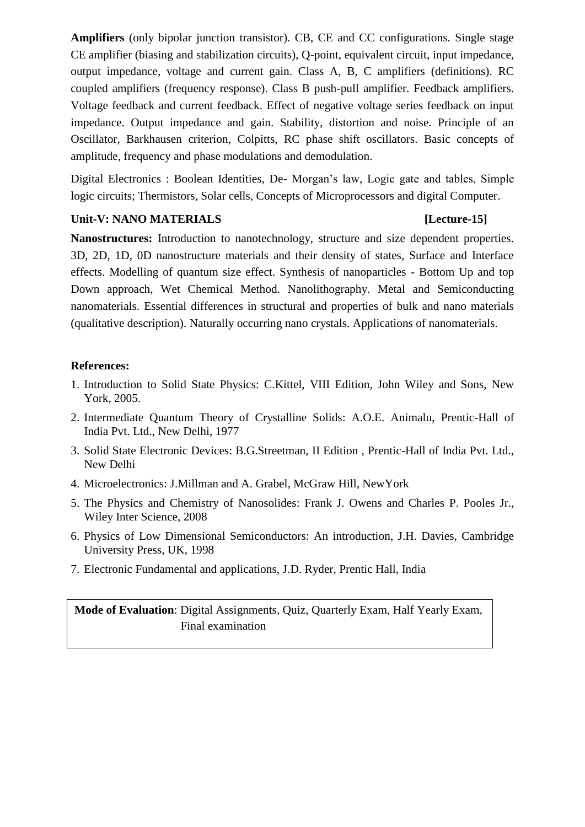**Amplifiers** (only bipolar junction transistor). CB, CE and CC configurations. Single stage CE amplifier (biasing and stabilization circuits), Q-point, equivalent circuit, input impedance, output impedance, voltage and current gain. Class A, B, C amplifiers (definitions). RC coupled amplifiers (frequency response). Class B push-pull amplifier. Feedback amplifiers. Voltage feedback and current feedback. Effect of negative voltage series feedback on input impedance. Output impedance and gain. Stability, distortion and noise. Principle of an Oscillator, Barkhausen criterion, Colpitts, RC phase shift oscillators. Basic concepts of amplitude, frequency and phase modulations and demodulation.

Digital Electronics : Boolean Identities, De- Morgan's law, Logic gate and tables, Simple logic circuits; Thermistors, Solar cells, Concepts of Microprocessors and digital Computer.

### **Unit-V: NANO MATERIALS [Lecture-15]**

**Nanostructures:** Introduction to nanotechnology, structure and size dependent properties. 3D, 2D, 1D, 0D nanostructure materials and their density of states, Surface and Interface effects. Modelling of quantum size effect. Synthesis of nanoparticles - Bottom Up and top Down approach, Wet Chemical Method. Nanolithography. Metal and Semiconducting nanomaterials. Essential differences in structural and properties of bulk and nano materials (qualitative description). Naturally occurring nano crystals. Applications of nanomaterials.

## **References:**

- 1. Introduction to Solid State Physics: C.Kittel, VIII Edition, John Wiley and Sons, New York, 2005.
- 2. Intermediate Quantum Theory of Crystalline Solids: A.O.E. Animalu, Prentic-Hall of India Pvt. Ltd., New Delhi, 1977
- 3. Solid State Electronic Devices: B.G.Streetman, II Edition , Prentic-Hall of India Pvt. Ltd., New Delhi
- 4. Microelectronics: J.Millman and A. Grabel, McGraw Hill, NewYork
- 5. The Physics and Chemistry of Nanosolides: Frank J. Owens and Charles P. Pooles Jr., Wiley Inter Science, 2008
- 6. Physics of Low Dimensional Semiconductors: An introduction, J.H. Davies, Cambridge University Press, UK, 1998
- 7. Electronic Fundamental and applications, J.D. Ryder, Prentic Hall, India

# **Mode of Evaluation**: Digital Assignments, Quiz, Quarterly Exam, Half Yearly Exam, Final examination